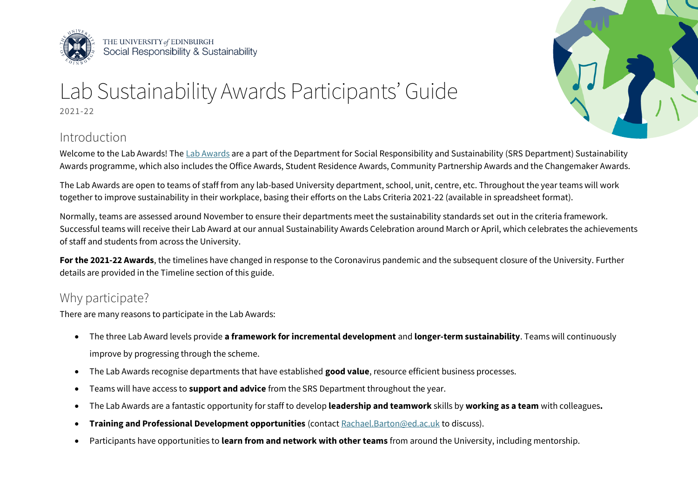

THE UNIVERSITY of EDINBURGH<br>Social Responsibility & Sustainability



# Lab Sustainability Awards Participants' Guide 2021-22

## Introduction

Welcome to the Lab Awards! The [Lab Awards](https://www.ed.ac.uk/sustainability/staff/be-part-of-the-sustainability-awards/enter-the-lab-awards) are a part of the Department for Social Responsibility and Sustainability (SRS Department) Sustainability Awards programme, which also includes the Office Awards, Student Residence Awards, Community Partnership Awards and the Changemaker Awards.

The Lab Awards are open to teams of staff from any lab-based University department, school, unit, centre, etc. Throughout the year teams will work together to improve sustainability in their workplace, basing their efforts on the Labs Criteria 2021-22 (available in spreadsheet format).

 $\ddot{\phantom{a}}$ Normally, teams are assessed around November to ensure their departments meet the sustainability standards set out in the criteria framework. Successful teams will receive their Lab Award at our annual Sustainability Awards Celebration around March or April, which celebrates the achievements of staff and students from across the University.

**For the 2021-22 Awards**, the timelines have changed in response to the Coronavirus pandemic and the subsequent closure of the University. Further details are provided in the Timeline section of this guide.

## Why participate?

There are many reasons to participate in the Lab Awards:

- The three Lab Award levels provide **a framework for incremental development** and **longer-term sustainability**. Teams will continuously improve by progressing through the scheme.
- The Lab Awards recognise departments that have established **good value**, resource efficient business processes.
- Teams will have access to **support and advice** from the SRS Department throughout the year.
- The Lab Awards are a fantastic opportunity for staff to develop **leadership and teamwork** skills by **working as a team** with colleagues**.**
- **Training and Professional Development opportunities** (contac[t Rachael.Barton@ed.ac.uk t](mailto:rachael.barton@ed.ac.uk)o discuss).
- Participants have opportunities to **learn from and network with other teams** from around the University, including mentorship.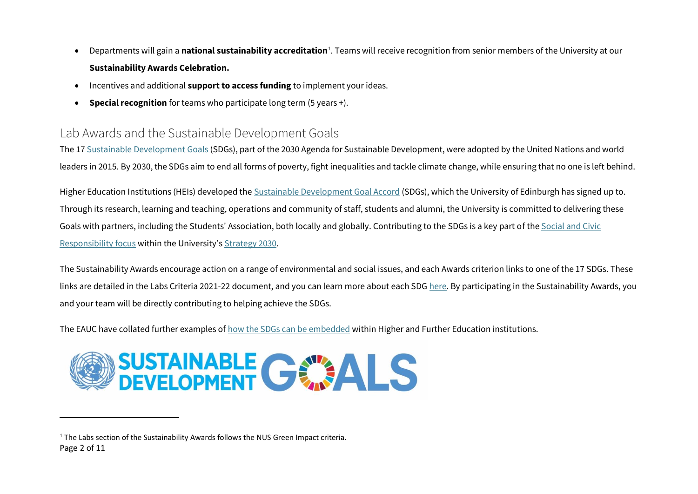- Departments will gain a **national sustainability accreditation**<sup>1</sup>. Teams will receive recognition from senior members of the University at our **Sustainability Awards Celebration.**
- Incentives and additional **support to access funding** to implement your ideas.
- **Special recognition** for teams who participate long term (5 years +).

#### Lab Awards and the Sustainable Development Goals

The 1[7 Sustainable Development Goals](https://sustainabledevelopment.un.org/sdgs) (SDGs), part of the 2030 Agenda for Sustainable Development, were adopted by the United Nations and world leaders in 2015. By 2030, the SDGs aim to end all forms of poverty, fight inequalities and tackle climate change, while ensuring that no one is left behind.

Higher Education Institutions (HEIs) developed the [Sustainable Development Goal Accord](https://www.sdgaccord.org/) (SDGs), which the University of Edinburgh has signed up to. Through its research, learning and teaching, operations and community of staff, students and alumni, the University is committed to delivering these Goals with partners, including the Students' Association, both locally and globally. Contributing to the SDGs is a key part of th[e Social and Civic](https://www.ed.ac.uk/about/strategy-2030/our-focus/social-and-civic-responsibility)  [Responsibility focus](https://www.ed.ac.uk/about/strategy-2030/our-focus/social-and-civic-responsibility) within the University's [Strategy 2030.](https://www.ed.ac.uk/about/strategy-2030)

 $\overline{a}$ The Sustainability Awards encourage action on a range of environmental and social issues, and each Awards criterion links to one of the 17 SDGs. These links are detailed in the Labs Criteria 2021-22 document, and you can learn more about each SD[G here.](https://sustainabledevelopment.un.org/sdgs) By participating in the Sustainability Awards, you and your team will be directly contributing to helping achieve the SDGs.

The EAUC have collated further examples o[f how the SDGs can be embedded w](https://www.sustainabilityexchange.ac.uk/files/gga_case_studies_resources.pdf)ithin Higher and Further Education institutions.



<sup>&</sup>lt;sup>1</sup> The Labs section of the Sustainability Awards follows the NUS Green Impact criteria. Page 2 of 11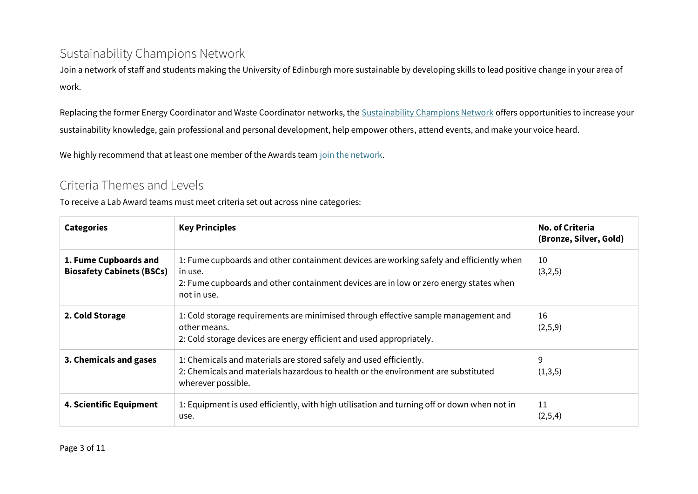#### Sustainability Champions Network

Join a network of staff and students making the University of Edinburgh more sustainable by developing skills to lead positive change in your area of work.

l, sustainability knowledge, gain professional and personal development, help empower others, attend events, and make your voice heard. Replacing the former Energy Coordinator and Waste Coordinator networks, the [Sustainability Champions Network o](https://www.ed.ac.uk/sustainability/staff/volunteer/staff-sustainability-champion)ffers opportunities to increase your

We highly recommend that at least one member of the Awards tea[m join the network.](https://www.ed.ac.uk/sustainability/staff/volunteer/staff-sustainability-champion)

#### Criteria Themes and Levels

To receive a Lab Award teams must meet criteria set out across nine categories:

| <b>Categories</b>                                         | <b>Key Principles</b>                                                                                                                                                                                      | <b>No. of Criteria</b><br>(Bronze, Silver, Gold) |
|-----------------------------------------------------------|------------------------------------------------------------------------------------------------------------------------------------------------------------------------------------------------------------|--------------------------------------------------|
| 1. Fume Cupboards and<br><b>Biosafety Cabinets (BSCs)</b> | 1: Fume cupboards and other containment devices are working safely and efficiently when<br>in use.<br>2: Fume cupboards and other containment devices are in low or zero energy states when<br>not in use. | 10<br>(3,2,5)                                    |
| 2. Cold Storage                                           | 1: Cold storage requirements are minimised through effective sample management and<br>other means.<br>2: Cold storage devices are energy efficient and used appropriately.                                 | 16<br>(2,5,9)                                    |
| 3. Chemicals and gases                                    | 1: Chemicals and materials are stored safely and used efficiently.<br>2: Chemicals and materials hazardous to health or the environment are substituted<br>wherever possible.                              | 9<br>(1,3,5)                                     |
| 4. Scientific Equipment                                   | 1: Equipment is used efficiently, with high utilisation and turning off or down when not in<br>use.                                                                                                        | 11<br>(2,5,4)                                    |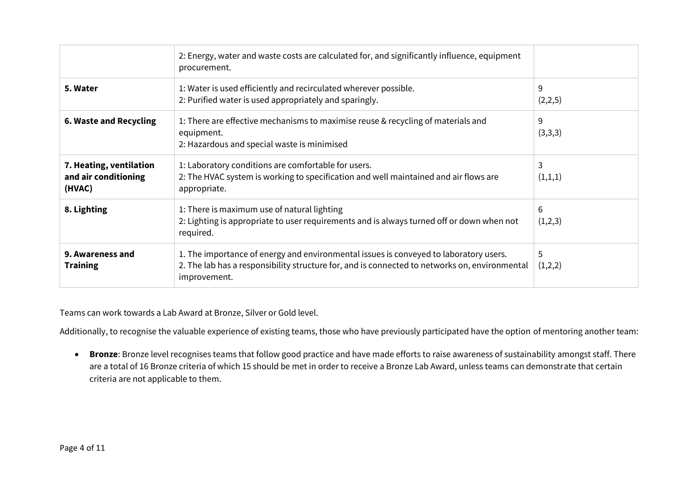|                                                           | 2: Energy, water and waste costs are calculated for, and significantly influence, equipment<br>procurement.                                                                                            |              |
|-----------------------------------------------------------|--------------------------------------------------------------------------------------------------------------------------------------------------------------------------------------------------------|--------------|
| 5. Water                                                  | 1: Water is used efficiently and recirculated wherever possible.<br>2: Purified water is used appropriately and sparingly.                                                                             | 9<br>(2,2,5) |
| 6. Waste and Recycling                                    | 1: There are effective mechanisms to maximise reuse & recycling of materials and<br>equipment.<br>2: Hazardous and special waste is minimised                                                          | 9<br>(3,3,3) |
| 7. Heating, ventilation<br>and air conditioning<br>(HVAC) | 1: Laboratory conditions are comfortable for users.<br>2: The HVAC system is working to specification and well maintained and air flows are<br>appropriate.                                            | 3<br>(1,1,1) |
| 8. Lighting                                               | 1: There is maximum use of natural lighting<br>2: Lighting is appropriate to user requirements and is always turned off or down when not<br>required.                                                  | 6<br>(1,2,3) |
| 9. Awareness and<br><b>Training</b>                       | 1. The importance of energy and environmental issues is conveyed to laboratory users.<br>2. The lab has a responsibility structure for, and is connected to networks on, environmental<br>improvement. | 5<br>(1,2,2) |

Teams can work towards a Lab Award at Bronze, Silver or Gold level.

Additionally, to recognise the valuable experience of existing teams, those who have previously participated have the option of mentoring another team:

• **Bronze**: Bronze level recognises teams that follow good practice and have made efforts to raise awareness of sustainability amongst staff. There are a total of 16 Bronze criteria of which 15 should be met in order to receive a Bronze Lab Award, unless teams can demonstrate that certain criteria are not applicable to them.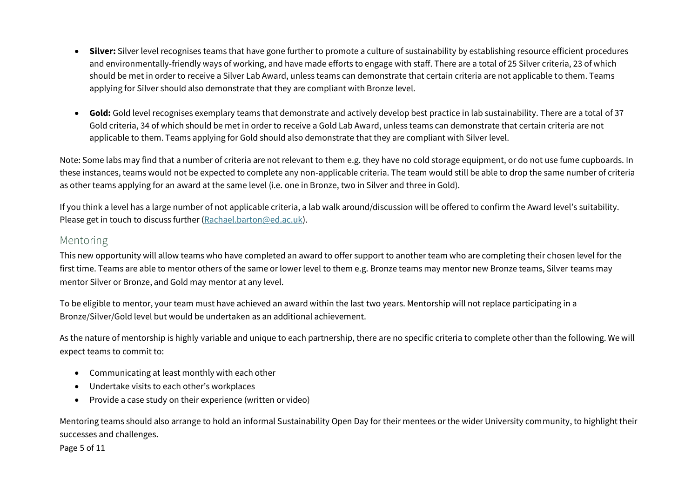- **Silver:** Silver level recognises teams that have gone further to promote a culture of sustainability by establishing resource efficient procedures and environmentally-friendly ways of working, and have made efforts to engage with staff. There are a total of 25 Silver criteria, 23 of which should be met in order to receive a Silver Lab Award, unless teams can demonstrate that certain criteria are not applicable to them. Teams applying for Silver should also demonstrate that they are compliant with Bronze level.
- **Gold:** Gold level recognises exemplary teams that demonstrate and actively develop best practice in lab sustainability. There are a total of 37 Gold criteria, 34 of which should be met in order to receive a Gold Lab Award, unless teams can demonstrate that certain criteria are not applicable to them. Teams applying for Gold should also demonstrate that they are compliant with Silver level.

Note: Some labs may find that a number of criteria are not relevant to them e.g. they have no cold storage equipment, or do not use fume cupboards. In these instances, teams would not be expected to complete any non-applicable criteria. The team would still be able to drop the same number of criteria as other teams applying for an award at the same level (i.e. one in Bronze, two in Silver and three in Gold).

 $\ddot{\phantom{a}}$ If you think a level has a large number of not applicable criteria, a lab walk around/discussion will be offered to confirm the Award level's suitability. Please get in touch to discuss further [\(Rachael.barton@ed.ac.uk\)](mailto:Rachael.barton@ed.ac.uk).

#### Mentoring

This new opportunity will allow teams who have completed an award to offer support to another team who are completing their chosen level for the first time. Teams are able to mentor others of the same or lower level to them e.g. Bronze teams may mentor new Bronze teams, Silver teams may mentor Silver or Bronze, and Gold may mentor at any level.

To be eligible to mentor, your team must have achieved an award within the last two years. Mentorship will not replace participating in a Bronze/Silver/Gold level but would be undertaken as an additional achievement.

As the nature of mentorship is highly variable and unique to each partnership, there are no specific criteria to complete other than the following. We will expect teams to commit to:

- Communicating at least monthly with each other
- Undertake visits to each other's workplaces
- Provide a case study on their experience (written or video)

Mentoring teams should also arrange to hold an informal Sustainability Open Day for their mentees or the wider University community, to highlight their successes and challenges.

Page 5 of 11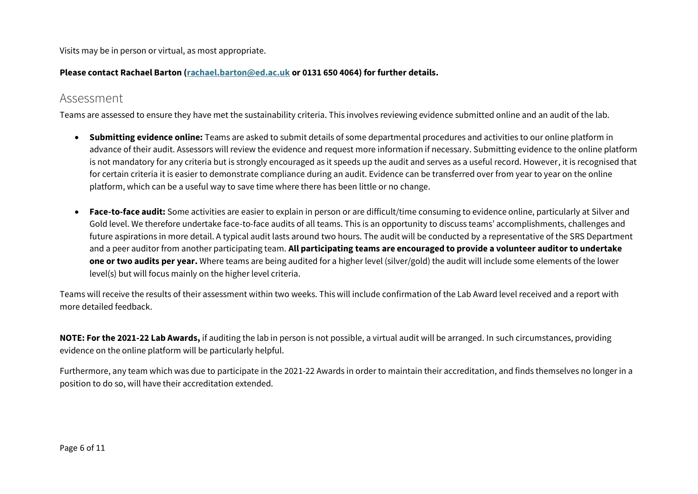Visits may be in person or virtual, as most appropriate.

#### **Please contact Rachael Barton [\(rachael.barton@ed.ac.uk](mailto:rachael.barton@ed.ac.uk) or 0131 650 4064) for further details.**

#### Assessment

Teams are assessed to ensure they have met the sustainability criteria. This involves reviewing evidence submitted online and an audit of the lab.

- **Submitting evidence online:** Teams are asked to submit details of some departmental procedures and activities to our online platform in advance of their audit. Assessors will review the evidence and request more information if necessary. Submitting evidence to the online platform is not mandatory for any criteria but is strongly encouraged as it speeds up the audit and serves as a useful record. However, it is recognised that for certain criteria it is easier to demonstrate compliance during an audit. Evidence can be transferred over from year to year on the online platform, which can be a useful way to save time where there has been little or no change.
- **one or two audits per year.** Where teams are being audited for a higher level (silver/gold) the audit will include some elements of the lower • **Face-to-face audit:** Some activities are easier to explain in person or are difficult/time consuming to evidence online, particularly at Silver and Gold level. We therefore undertake face-to-face audits of all teams. This is an opportunity to discuss teams' accomplishments, challenges and future aspirations in more detail. A typical audit lasts around two hours. The audit will be conducted by a representative of the SRS Department and a peer auditor from another participating team. **All participating teams are encouraged to provide a volunteer auditor to undertake**  level(s) but will focus mainly on the higher level criteria.

Teams will receive the results of their assessment within two weeks. This will include confirmation of the Lab Award level received and a report with more detailed feedback.

**NOTE: For the 2021-22 Lab Awards,** if auditing the lab in person is not possible, a virtual audit will be arranged. In such circumstances, providing evidence on the online platform will be particularly helpful.

Furthermore, any team which was due to participate in the 2021-22 Awards in order to maintain their accreditation, and finds themselves no longer in a position to do so, will have their accreditation extended.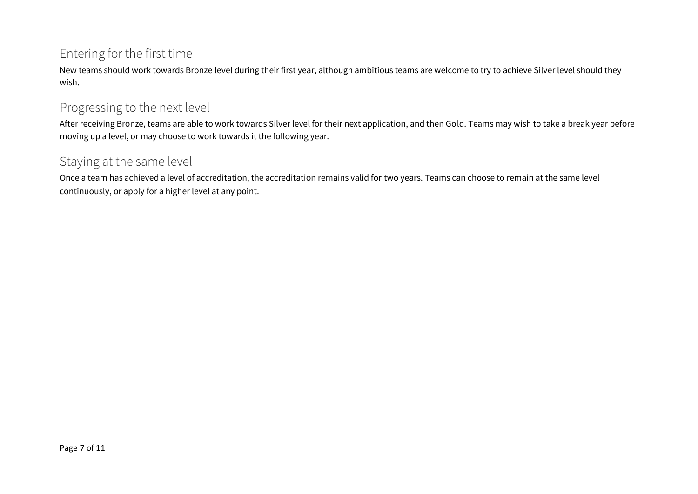#### Entering for the first time

 New teams should work towards Bronze level during their first year, although ambitious teams are welcome to try to achieve Silver level should they wish.

#### Progressing to the next level

 $\overline{a}$ After receiving Bronze, teams are able to work towards Silver level for their next application, and then Gold. Teams may wish to take a break year before moving up a level, or may choose to work towards it the following year.

#### Staying at the same level

Once a team has achieved a level of accreditation, the accreditation remains valid for two years. Teams can choose to remain at the same level continuously, or apply for a higher level at any point.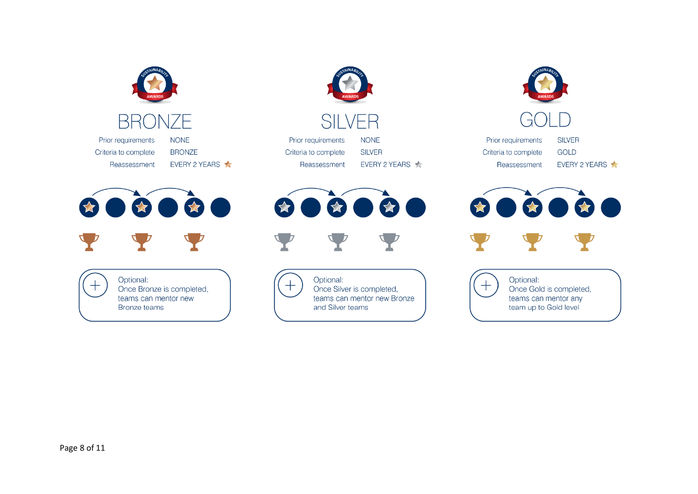

Prior requirements Criteria to complete Reassessment NONE BRONZE EVERY 2 YEARS



(<del>)</del> Optional:<br>Once Bro<br>teams ca Once Bronze is completed, teams can mentor new Bronze teams



# **SILVER**

Prior requirements Criteria to complete Reassessment NONE

SILVER EVERY 2 YEARS



(+) Optional:<br>Once Silv<br>teams ca Once Silver is completed, teams can mentor new Bronze and Silver teams





Prior requirements Criteria to complete Reassessment SILVER GOLD EVERY 2 YEARS



(<del>)</del> Optional:<br>Once Goleans ca Once Gold is completed, teams can mentor any team up to Gold level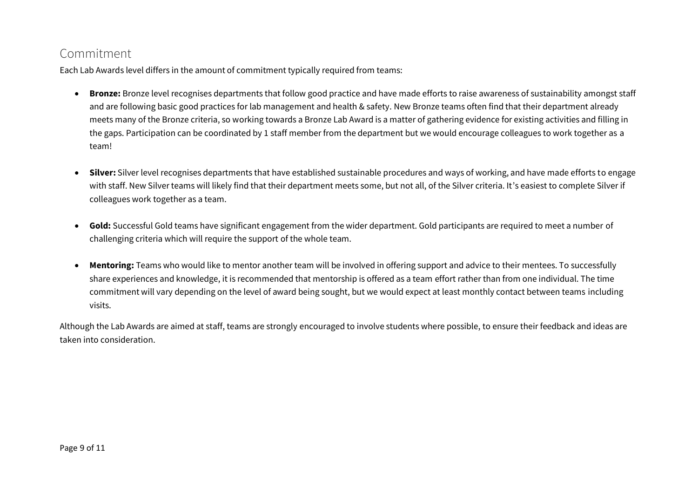#### Commitment

Each Lab Awards level differs in the amount of commitment typically required from teams:

- the gaps. Participation can be coordinated by 1 staff member from the department but we would encourage colleagues to work together as a • **Bronze:** Bronze level recognises departments that follow good practice and have made efforts to raise awareness of sustainability amongst staff and are following basic good practices for lab management and health & safety. New Bronze teams often find that their department already meets many of the Bronze criteria, so working towards a Bronze Lab Award is a matter of gathering evidence for existing activities and filling in team!
- i. • **Silver:** Silver level recognises departments that have established sustainable procedures and ways of working, and have made efforts to engage with staff. New Silver teams will likely find that their department meets some, but not all, of the Silver criteria. It's easiest to complete Silver if colleagues work together as a team.
- **Gold:** Successful Gold teams have significant engagement from the wider department. Gold participants are required to meet a number of challenging criteria which will require the support of the whole team.
- • Mentoring: Teams who would like to mentor another team will be involved in offering support and advice to their mentees. To successfully share experiences and knowledge, it is recommended that mentorship is offered as a team effort rather than from one individual. The time commitment will vary depending on the level of award being sought, but we would expect at least monthly contact between teams including visits.

Although the Lab Awards are aimed at staff, teams are strongly encouraged to involve students where possible, to ensure their feedback and ideas are taken into consideration.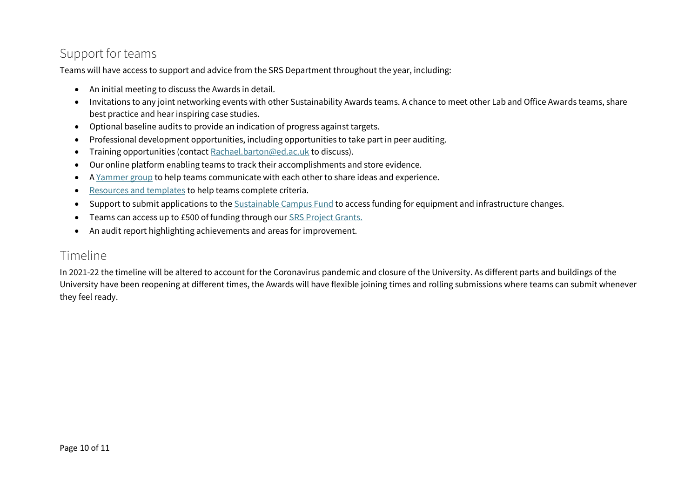### Support for teams

Teams will have access to support and advice from the SRS Department throughout the year, including:

- An initial meeting to discuss the Awards in detail.
- Invitations to any joint networking events with other Sustainability Awards teams. A chance to meet other Lab and Office Awards teams, share best practice and hear inspiring case studies.
- Optional baseline audits to provide an indication of progress against targets.
- Professional development opportunities, including opportunities to take part in peer auditing.
- Training opportunities (contact [Rachael.barton@ed.ac.uk](mailto:Rachael.barton@ed.ac.uk) to discuss).
- Our online platform enabling teams to track their accomplishments and store evidence.
- [A Yammer group](https://www.yammer.com/ed.ac.uk/#/threads/inGroup?type=in_group&feedId=17777701&view=all) to help teams communicate with each other to share ideas and experience.
- l • [Resources and templates t](https://uoe-my.sharepoint.com/:f:/g/personal/rbarton_ed_ac_uk/EsGbfEW4RodIqt7z4ivzjP8BpvBHz6YZ7S49YhHKorLfwA?e=Hzi6a9)o help teams complete criteria.
- Support to submit applications to th[e Sustainable Campus Fund](https://www.ed.ac.uk/sustainability/staff/funding-and-support/sustainable-campus-fund) to access funding for equipment and infrastructure changes.
- Teams can access up to £500 of funding through ou[r SRS Project Grants.](https://www.ed.ac.uk/sustainability/staff/funding-and-support/staff-project-grant)
- An audit report highlighting achievements and areas for improvement.

#### Timeline

i University have been reopening at different times, the Awards will have flexible joining times and rolling submissions where teams can submit whenever In 2021-22 the timeline will be altered to account for the Coronavirus pandemic and closure of the University. As different parts and buildings of the they feel ready.